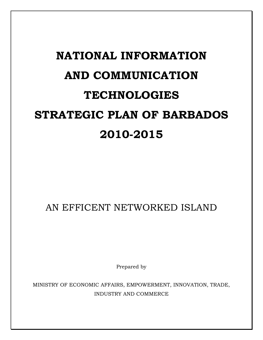# **NATIONAL INFORMATION AND COMMUNICATION TECHNOLOGIES STRATEGIC PLAN OF BARBADOS 2010-2015**

AN EFFICENT NETWORKED ISLAND

Prepared by

MINISTRY OF ECONOMIC AFFAIRS, EMPOWERMENT, INNOVATION, TRADE, INDUSTRY AND COMMERCE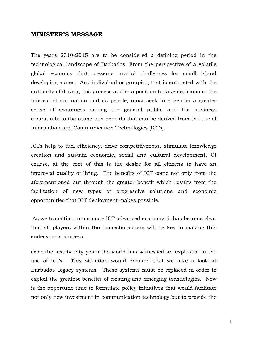#### **MINISTER'S MESSAGE**

The years 2010-2015 are to be considered a defining period in the technological landscape of Barbados. From the perspective of a volatile global economy that presents myriad challenges for small island developing states. Any individual or grouping that is entrusted with the authority of driving this process and in a position to take decisions in the interest of our nation and its people, must seek to engender a greater sense of awareness among the general public and the business community to the numerous benefits that can be derived from the use of Information and Communication Technologies (ICTs).

ICTs help to fuel efficiency, drive competitiveness, stimulate knowledge creation and sustain economic, social and cultural development. Of course, at the root of this is the desire for all citizens to have an improved quality of living. The benefits of ICT come not only from the aforementioned but through the greater benefit which results from the facilitation of new types of progressive solutions and economic opportunities that ICT deployment makes possible.

As we transition into a more ICT advanced economy, it has become clear that all players within the domestic sphere will be key to making this endeavour a success.

Over the last twenty years the world has witnessed an explosion in the use of ICTs. This situation would demand that we take a look at Barbados" legacy systems. These systems must be replaced in order to exploit the greatest benefits of existing and emerging technologies. Now is the opportune time to formulate policy initiatives that would facilitate not only new investment in communication technology but to provide the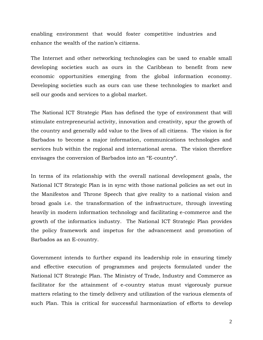enabling environment that would foster competitive industries and enhance the wealth of the nation's citizens.

The Internet and other networking technologies can be used to enable small developing societies such as ours in the Caribbean to benefit from new economic opportunities emerging from the global information economy. Developing societies such as ours can use these technologies to market and sell our goods and services to a global market.

The National ICT Strategic Plan has defined the type of environment that will stimulate entrepreneurial activity, innovation and creativity, spur the growth of the country and generally add value to the lives of all citizens. The vision is for Barbados to become a major information, communications technologies and services hub within the regional and international arena. The vision therefore envisages the conversion of Barbados into an "E-country".

In terms of its relationship with the overall national development goals, the National ICT Strategic Plan is in sync with those national policies as set out in the Manifestos and Throne Speech that give reality to a national vision and broad goals i.e. the transformation of the infrastructure, through investing heavily in modern information technology and facilitating e-commerce and the growth of the informatics industry. The National ICT Strategic Plan provides the policy framework and impetus for the advancement and promotion of Barbados as an E-country.

Government intends to further expand its leadership role in ensuring timely and effective execution of programmes and projects formulated under the National ICT Strategic Plan. The Ministry of Trade, Industry and Commerce as facilitator for the attainment of e-country status must vigorously pursue matters relating to the timely delivery and utilization of the various elements of such Plan. This is critical for successful harmonization of efforts to develop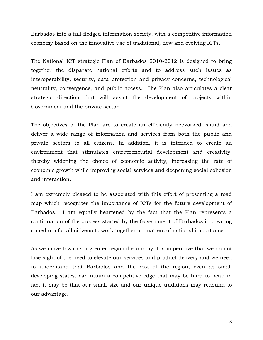Barbados into a full-fledged information society, with a competitive information economy based on the innovative use of traditional, new and evolving ICTs.

The National ICT strategic Plan of Barbados 2010-2012 is designed to bring together the disparate national efforts and to address such issues as interoperability, security, data protection and privacy concerns, technological neutrality, convergence, and public access. The Plan also articulates a clear strategic direction that will assist the development of projects within Government and the private sector.

The objectives of the Plan are to create an efficiently networked island and deliver a wide range of information and services from both the public and private sectors to all citizens. In addition, it is intended to create an environment that stimulates entrepreneurial development and creativity, thereby widening the choice of economic activity, increasing the rate of economic growth while improving social services and deepening social cohesion and interaction.

I am extremely pleased to be associated with this effort of presenting a road map which recognizes the importance of ICTs for the future development of Barbados. I am equally heartened by the fact that the Plan represents a continuation of the process started by the Government of Barbados in creating a medium for all citizens to work together on matters of national importance.

As we move towards a greater regional economy it is imperative that we do not lose sight of the need to elevate our services and product delivery and we need to understand that Barbados and the rest of the region, even as small developing states, can attain a competitive edge that may be hard to beat; in fact it may be that our small size and our unique traditions may redound to our advantage.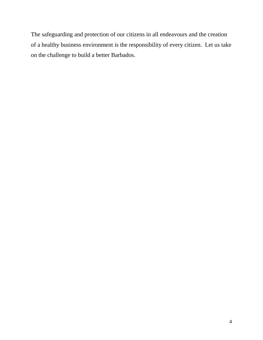The safeguarding and protection of our citizens in all endeavours and the creation of a healthy business environment is the responsibility of every citizen. Let us take on the challenge to build a better Barbados.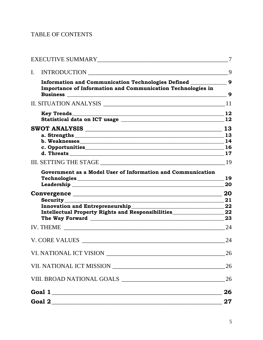# TABLE OF CONTENTS

|    |                                                                                    | 7                |
|----|------------------------------------------------------------------------------------|------------------|
| I. | INTRODUCTION                                                                       | 9                |
|    | Information and Communication Technologies Defined _______                         | $\boldsymbol{9}$ |
|    | <b>Importance of Information and Communication Technologies in</b>                 | 9                |
|    |                                                                                    | 11               |
|    |                                                                                    | 12               |
|    |                                                                                    | 13               |
|    |                                                                                    |                  |
|    | b. Weaknesses                                                                      | 14               |
|    |                                                                                    |                  |
|    |                                                                                    |                  |
|    |                                                                                    | 19               |
|    | Government as a Model User of Information and Communication                        |                  |
|    | Leadership Leadership                                                              | 19<br>20         |
|    |                                                                                    | 20               |
|    | Security<br><u>Security</u>                                                        | 21               |
|    | Innovation and Entrepreneurship<br><u>Example 2001</u>                             | 22               |
|    | Intellectual Property Rights and Responsibilities_______________________________22 |                  |
|    | The Way Forward Manual Accounts and the Way Forward                                | 23               |
|    |                                                                                    | 24               |
|    |                                                                                    | 24               |
|    |                                                                                    | 26               |
|    |                                                                                    |                  |
|    |                                                                                    |                  |
|    | Goal 1                                                                             | 26               |
|    |                                                                                    | 27               |
|    |                                                                                    |                  |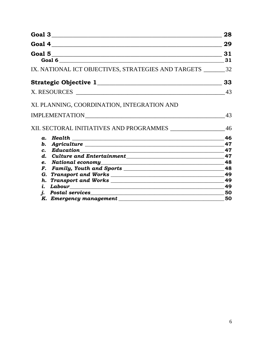| Goal 3                                                                                                                            | 28 |
|-----------------------------------------------------------------------------------------------------------------------------------|----|
|                                                                                                                                   | 29 |
| Goal 5                                                                                                                            | 31 |
| Goal 6                                                                                                                            | 31 |
| IX. NATIONAL ICT OBJECTIVES, STRATEGIES AND TARGETS 32                                                                            |    |
|                                                                                                                                   | 33 |
| X. RESOURCES                                                                                                                      | 43 |
| XI. PLANNING, COORDINATION, INTEGRATION AND                                                                                       |    |
|                                                                                                                                   | 43 |
| XII. SECTORAL INITIATIVES AND PROGRAMMES _________________                                                                        | 46 |
| a. Health<br><u> Alexandria de la contrada de la contrada de la contrada de la contrada de la contrada de la contrada de la c</u> | 46 |
|                                                                                                                                   | 47 |
| $\mathbf{c}$ .                                                                                                                    | 47 |
| $\boldsymbol{d}$ .                                                                                                                | 47 |
|                                                                                                                                   | 48 |
| F.                                                                                                                                | 48 |
|                                                                                                                                   | 49 |
|                                                                                                                                   | 49 |
|                                                                                                                                   | 49 |
| <i>i. Postal services</i><br><u>1. Postal services</u>                                                                            | 50 |
|                                                                                                                                   | 50 |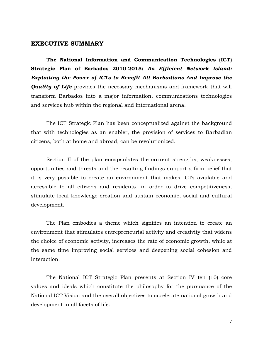#### <span id="page-7-0"></span>**EXECUTIVE SUMMARY**

**The National Information and Communication Technologies (ICT) Strategic Plan of Barbados 2010-2015:** *An Efficient Network Island: Exploiting the Power of ICTs to Benefit All Barbadians And Improve the*  **Quality of Life** provides the necessary mechanisms and framework that will transform Barbados into a major information, communications technologies and services hub within the regional and international arena.

The ICT Strategic Plan has been conceptualized against the background that with technologies as an enabler, the provision of services to Barbadian citizens, both at home and abroad, can be revolutionized.

Section II of the plan encapsulates the current strengths, weaknesses, opportunities and threats and the resulting findings support a firm belief that it is very possible to create an environment that makes ICTs available and accessible to all citizens and residents, in order to drive competitiveness, stimulate local knowledge creation and sustain economic, social and cultural development.

The Plan embodies a theme which signifies an intention to create an environment that stimulates entrepreneurial activity and creativity that widens the choice of economic activity, increases the rate of economic growth, while at the same time improving social services and deepening social cohesion and interaction.

The National ICT Strategic Plan presents at Section IV ten (10) core values and ideals which constitute the philosophy for the pursuance of the National ICT Vision and the overall objectives to accelerate national growth and development in all facets of life.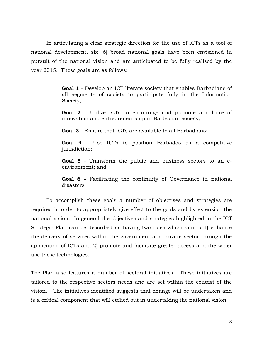In articulating a clear strategic direction for the use of ICTs as a tool of national development, six (6) broad national goals have been envisioned in pursuit of the national vision and are anticipated to be fully realised by the year 2015. These goals are as follows:

> **Goal 1** - Develop an ICT literate society that enables Barbadians of all segments of society to participate fully in the Information Society;

> **Goal 2** - Utilize ICTs to encourage and promote a culture of innovation and entrepreneurship in Barbadian society;

**Goal 3** - Ensure that ICTs are available to all Barbadians;

**Goal 4** - Use ICTs to position Barbados as a competitive jurisdiction;

**Goal 5** - Transform the public and business sectors to an eenvironment; and

**Goal 6** - Facilitating the continuity of Governance in national disasters

To accomplish these goals a number of objectives and strategies are required in order to appropriately give effect to the goals and by extension the national vision. In general the objectives and strategies highlighted in the ICT Strategic Plan can be described as having two roles which aim to 1) enhance the delivery of services within the government and private sector through the application of ICTs and 2) promote and facilitate greater access and the wider use these technologies.

The Plan also features a number of sectoral initiatives. These initiatives are tailored to the respective sectors needs and are set within the context of the vision. The initiatives identified suggests that change will be undertaken and is a critical component that will etched out in undertaking the national vision.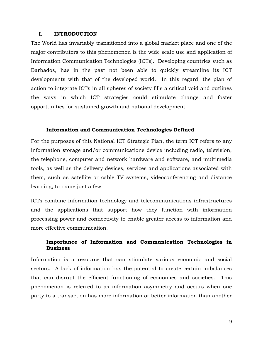#### <span id="page-9-0"></span>**I. INTRODUCTION**

The World has invariably transitioned into a global market place and one of the major contributors to this phenomenon is the wide scale use and application of Information Communication Technologies (ICTs). Developing countries such as Barbados, has in the past not been able to quickly streamline its ICT developments with that of the developed world. In this regard, the plan of action to integrate ICTs in all spheres of society fills a critical void and outlines the ways in which ICT strategies could stimulate change and foster opportunities for sustained growth and national development.

#### **Information and Communication Technologies Defined**

<span id="page-9-1"></span>For the purposes of this National ICT Strategic Plan, the term ICT refers to any information storage and/or communications device including radio, television, the telephone, computer and network hardware and software, and multimedia tools, as well as the delivery devices, services and applications associated with them, such as satellite or cable TV systems, videoconferencing and distance learning, to name just a few.

ICTs combine information technology and telecommunications infrastructures and the applications that support how they function with information processing power and connectivity to enable greater access to information and more effective communication.

## <span id="page-9-2"></span>**Importance of Information and Communication Technologies in Business**

Information is a resource that can stimulate various economic and social sectors. A lack of information has the potential to create certain imbalances that can disrupt the efficient functioning of economies and societies. This phenomenon is referred to as information asymmetry and occurs when one party to a transaction has more information or better information than another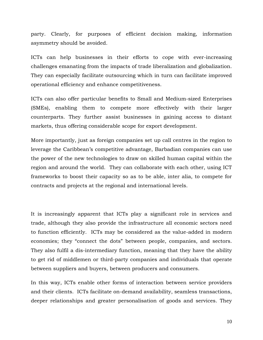party. Clearly, for purposes of efficient decision making, information asymmetry should be avoided.

ICTs can help businesses in their efforts to cope with ever-increasing challenges emanating from the impacts of trade liberalization and globalization. They can especially facilitate outsourcing which in turn can facilitate improved operational efficiency and enhance competitiveness.

ICTs can also offer particular benefits to Small and Medium-sized Enterprises (SMEs), enabling them to compete more effectively with their larger counterparts. They further assist businesses in gaining access to distant markets, thus offering considerable scope for export development.

More importantly, just as foreign companies set up call centres in the region to leverage the Caribbean's competitive advantage, Barbadian companies can use the power of the new technologies to draw on skilled human capital within the region and around the world. They can collaborate with each other, using ICT frameworks to boost their capacity so as to be able, inter alia, to compete for contracts and projects at the regional and international levels.

It is increasingly apparent that ICTs play a significant role in services and trade, although they also provide the infrastructure all economic sectors need to function efficiently. ICTs may be considered as the value-added in modern economies; they "connect the dots" between people, companies, and sectors. They also fulfil a dis-intermediary function, meaning that they have the ability to get rid of middlemen or third-party companies and individuals that operate between suppliers and buyers, between producers and consumers.

In this way, ICTs enable other forms of interaction between service providers and their clients. ICTs facilitate on-demand availability, seamless transactions, deeper relationships and greater personalisation of goods and services. They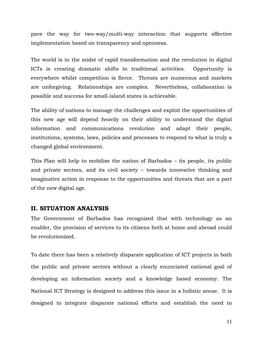pave the way for two-way/multi-way interaction that supports effective implementation based on transparency and openness.

The world is in the midst of rapid transformation and the revolution in digital ICTs is creating dramatic shifts in traditional activities. Opportunity is everywhere whilst competition is fierce. Threats are numerous and markets are unforgiving. Relationships are complex. Nevertheless, collaboration is possible and success for small-island states is achievable.

The ability of nations to manage the challenges and exploit the opportunities of this new age will depend heavily on their ability to understand the digital information and communications revolution and adapt their people, institutions, systems, laws, policies and processes to respond to what is truly a changed global environment.

This Plan will help to mobilise the nation of Barbados – its people, its public and private sectors, and its civil society – towards innovative thinking and imaginative action in response to the opportunities and threats that are a part of the new digital age.

## <span id="page-11-0"></span>**II. SITUATION ANALYSIS**

The Government of Barbados has recognized that with technology as an enabler, the provision of services to its citizens both at home and abroad could be revolutionized.

To date there has been a relatively disparate application of ICT projects in both the public and private sectors without a clearly enunciated national goal of developing an information society and a knowledge based economy. The National ICT Strategy is designed to address this issue in a holistic sense. It is designed to integrate disparate national efforts and establish the need to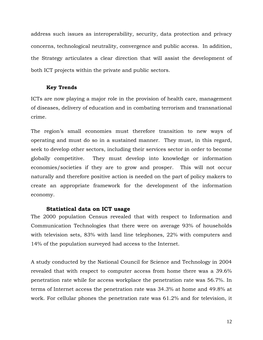address such issues as interoperability, security, data protection and privacy concerns, technological neutrality, convergence and public access. In addition, the Strategy articulates a clear direction that will assist the development of both ICT projects within the private and public sectors.

#### **Key Trends**

<span id="page-12-0"></span>ICTs are now playing a major role in the provision of health care, management of diseases, delivery of education and in combating terrorism and transnational crime.

The region's small economies must therefore transition to new ways of operating and must do so in a sustained manner. They must, in this regard, seek to develop other sectors, including their services sector in order to become globally competitive. They must develop into knowledge or information economies/societies if they are to grow and prosper. This will not occur naturally and therefore positive action is needed on the part of policy makers to create an appropriate framework for the development of the information economy.

## <span id="page-12-1"></span>**Statistical data on ICT usage**

The 2000 population Census revealed that with respect to Information and Communication Technologies that there were on average 93% of households with television sets, 83% with land line telephones, 22% with computers and 14% of the population surveyed had access to the Internet.

A study conducted by the National Council for Science and Technology in 2004 revealed that with respect to computer access from home there was a 39.6% penetration rate while for access workplace the penetration rate was 56.7%. In terms of Internet access the penetration rate was 34.3% at home and 49.8% at work. For cellular phones the penetration rate was 61.2% and for television, it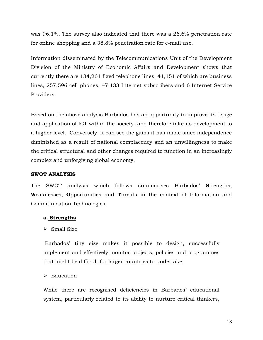was 96.1%. The survey also indicated that there was a 26.6% penetration rate for online shopping and a 38.8% penetration rate for e-mail use.

Information disseminated by the Telecommunications Unit of the Development Division of the Ministry of Economic Affairs and Development shows that currently there are 134,261 fixed telephone lines, 41,151 of which are business lines, 257,596 cell phones, 47,133 Internet subscribers and 6 Internet Service Providers.

Based on the above analysis Barbados has an opportunity to improve its usage and application of ICT within the society, and therefore take its development to a higher level. Conversely, it can see the gains it has made since independence diminished as a result of national complacency and an unwillingness to make the critical structural and other changes required to function in an increasingly complex and unforgiving global economy.

## <span id="page-13-0"></span>**SWOT ANALYSIS**

The SWOT analysis which follows summarises Barbados" **S**trengths, **W**eaknesses, **O**pportunities and **T**hreats in the context of Information and Communication Technologies.

## <span id="page-13-1"></span>**a. Strengths**

## $\triangleright$  Small Size

Barbados" tiny size makes it possible to design, successfully implement and effectively monitor projects, policies and programmes that might be difficult for larger countries to undertake.

## $\triangleright$  Education

While there are recognised deficiencies in Barbados' educational system, particularly related to its ability to nurture critical thinkers,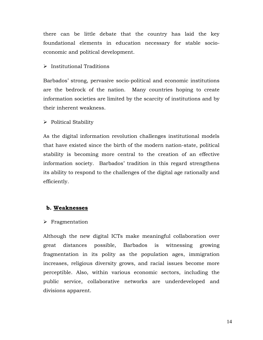there can be little debate that the country has laid the key foundational elements in education necessary for stable socioeconomic and political development.

## > Institutional Traditions

Barbados" strong, pervasive socio-political and economic institutions are the bedrock of the nation. Many countries hoping to create information societies are limited by the scarcity of institutions and by their inherent weakness.

## $\triangleright$  Political Stability

As the digital information revolution challenges institutional models that have existed since the birth of the modern nation-state, political stability is becoming more central to the creation of an effective information society. Barbados' tradition in this regard strengthens its ability to respond to the challenges of the digital age rationally and efficiently.

## <span id="page-14-0"></span>**b. Weaknesses**

## $\triangleright$  Fragmentation

Although the new digital ICTs make meaningful collaboration over great distances possible, Barbados is witnessing growing fragmentation in its polity as the population ages, immigration increases, religious diversity grows, and racial issues become more perceptible. Also, within various economic sectors, including the public service, collaborative networks are underdeveloped and divisions apparent.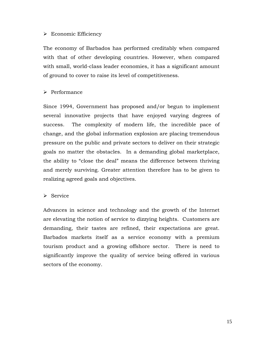## > Economic Efficiency

The economy of Barbados has performed creditably when compared with that of other developing countries. However, when compared with small, world-class leader economies, it has a significant amount of ground to cover to raise its level of competitiveness.

## $\triangleright$  Performance

Since 1994, Government has proposed and/or begun to implement several innovative projects that have enjoyed varying degrees of success. The complexity of modern life, the incredible pace of change, and the global information explosion are placing tremendous pressure on the public and private sectors to deliver on their strategic goals no matter the obstacles. In a demanding global marketplace, the ability to "close the deal" means the difference between thriving and merely surviving. Greater attention therefore has to be given to realizing agreed goals and objectives.

## $\triangleright$  Service

Advances in science and technology and the growth of the Internet are elevating the notion of service to dizzying heights. Customers are demanding, their tastes are refined, their expectations are great. Barbados markets itself as a service economy with a premium tourism product and a growing offshore sector. There is need to significantly improve the quality of service being offered in various sectors of the economy.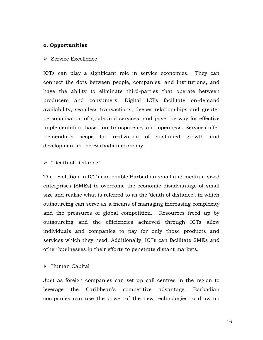#### <span id="page-16-0"></span>**c. Opportunities**

#### $\triangleright$  Service Excellence

ICTs can play a significant role in service economies. They can connect the dots between people, companies, and institutions, and have the ability to eliminate third-parties that operate between producers and consumers. Digital ICTs facilitate on-demand availability, seamless transactions, deeper relationships and greater personalisation of goods and services, and pave the way for effective implementation based on transparency and openness. Services offer tremendous scope for realization of sustained growth and development in the Barbadian economy.

#### > "Death of Distance"

The revolution in ICTs can enable Barbadian small and medium-sized enterprises (SMEs) to overcome the economic disadvantage of small size and realise what is referred to as the 'death of distance', in which outsourcing can serve as a means of managing increasing complexity and the pressures of global competition. Resources freed up by outsourcing and the efficiencies achieved through ICTs allow individuals and companies to pay for only those products and services which they need. Additionally, ICTs can facilitate SMEs and other businesses in their efforts to penetrate distant markets.

#### Human Capital

Just as foreign companies can set up call centres in the region to leverage the Caribbean"s competitive advantage, Barbadian companies can use the power of the new technologies to draw on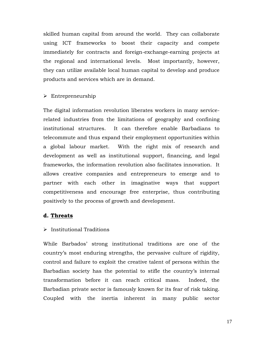skilled human capital from around the world. They can collaborate using ICT frameworks to boost their capacity and compete immediately for contracts and foreign-exchange-earning projects at the regional and international levels. Most importantly, however, they can utilize available local human capital to develop and produce products and services which are in demand.

#### $\triangleright$  Entrepreneurship

The digital information revolution liberates workers in many servicerelated industries from the limitations of geography and confining institutional structures. It can therefore enable Barbadians to telecommute and thus expand their employment opportunities within a global labour market. With the right mix of research and development as well as institutional support, financing, and legal frameworks, the information revolution also facilitates innovation. It allows creative companies and entrepreneurs to emerge and to partner with each other in imaginative ways that support competitiveness and encourage free enterprise, thus contributing positively to the process of growth and development.

## <span id="page-17-0"></span>**d. Threats**

## $\triangleright$  Institutional Traditions

While Barbados' strong institutional traditions are one of the country"s most enduring strengths, the pervasive culture of rigidity, control and failure to exploit the creative talent of persons within the Barbadian society has the potential to stifle the country's internal transformation before it can reach critical mass. Indeed, the Barbadian private sector is famously known for its fear of risk taking. Coupled with the inertia inherent in many public sector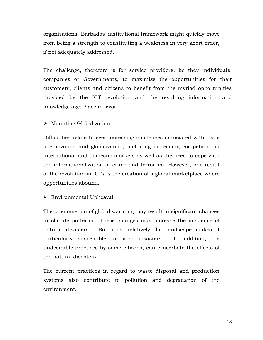organisations, Barbados" institutional framework might quickly move from being a strength to constituting a weakness in very short order, if not adequately addressed.

The challenge, therefore is for service providers, be they individuals, companies or Governments, to maximize the opportunities for their customers, clients and citizens to benefit from the myriad opportunities provided by the ICT revolution and the resulting information and knowledge age. Place in swot.

## $\triangleright$  Mounting Globalization

Difficulties relate to ever-increasing challenges associated with trade liberalization and globalization, including increasing competition in international and domestic markets as well as the need to cope with the internationalization of crime and terrorism. However, one result of the revolution in ICTs is the creation of a global marketplace where opportunities abound.

## Environmental Upheaval

The phenomenon of global warming may result in significant changes in climate patterns. These changes may increase the incidence of natural disasters. Barbados" relatively flat landscape makes it particularly susceptible to such disasters. In addition, the undesirable practices by some citizens, can exacerbate the effects of the natural disasters.

The current practices in regard to waste disposal and production systems also contribute to pollution and degradation of the environment.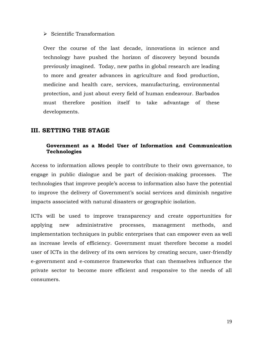#### $\triangleright$  Scientific Transformation

Over the course of the last decade, innovations in science and technology have pushed the horizon of discovery beyond bounds previously imagined. Today, new paths in global research are leading to more and greater advances in agriculture and food production, medicine and health care, services, manufacturing, environmental protection, and just about every field of human endeavour. Barbados must therefore position itself to take advantage of these developments.

## <span id="page-19-1"></span><span id="page-19-0"></span>**III. SETTING THE STAGE**

## **Government as a Model User of Information and Communication Technologies**

Access to information allows people to contribute to their own governance, to engage in public dialogue and be part of decision-making processes. The technologies that improve people"s access to information also have the potential to improve the delivery of Government's social services and diminish negative impacts associated with natural disasters or geographic isolation.

ICTs will be used to improve transparency and create opportunities for applying new administrative processes, management methods, and implementation techniques in public enterprises that can empower even as well as increase levels of efficiency. Government must therefore become a model user of ICTs in the delivery of its own services by creating secure, user-friendly e-government and e-commerce frameworks that can themselves influence the private sector to become more efficient and responsive to the needs of all consumers.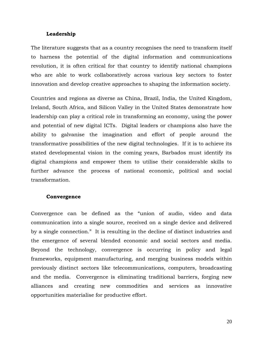#### **Leadership**

<span id="page-20-0"></span>The literature suggests that as a country recognises the need to transform itself to harness the potential of the digital information and communications revolution, it is often critical for that country to identify national champions who are able to work collaboratively across various key sectors to foster innovation and develop creative approaches to shaping the information society.

Countries and regions as diverse as China, Brazil, India, the United Kingdom, Ireland, South Africa, and Silicon Valley in the United States demonstrate how leadership can play a critical role in transforming an economy, using the power and potential of new digital ICTs. Digital leaders or champions also have the ability to galvanise the imagination and effort of people around the transformative possibilities of the new digital technologies. If it is to achieve its stated developmental vision in the coming years, Barbados must identify its digital champions and empower them to utilise their considerable skills to further advance the process of national economic, political and social transformation.

#### <span id="page-20-1"></span>**Convergence**

Convergence can be defined as the "union of audio, video and data communication into a single source, received on a single device and delivered by a single connection." It is resulting in the decline of distinct industries and the emergence of several blended economic and social sectors and media. Beyond the technology, convergence is occurring in policy and legal frameworks, equipment manufacturing, and merging business models within previously distinct sectors like telecommunications, computers, broadcasting and the media. Convergence is eliminating traditional barriers, forging new alliances and creating new commodities and services as innovative opportunities materialise for productive effort.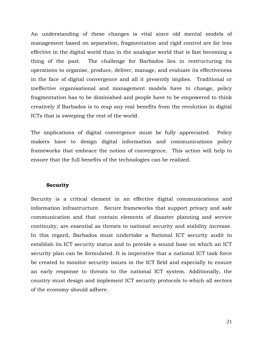An understanding of these changes is vital since old mental models of management based on separation, fragmentation and rigid control are far less effective in the digital world than in the analogue world that is fast becoming a thing of the past. The challenge for Barbados lies in restructuring its operations to organise, produce, deliver, manage, and evaluate its effectiveness in the face of digital convergence and all it presently implies. Traditional or ineffective organisational and management models have to change, policy fragmentation has to be diminished and people have to be empowered to think creatively if Barbados is to reap any real benefits from the revolution in digital ICTs that is sweeping the rest of the world.

The implications of digital convergence must be fully appreciated. Policy makers have to design digital information and communications policy frameworks that embrace the notion of convergence. This action will help to ensure that the full benefits of the technologies can be realized.

#### <span id="page-21-0"></span>**Security**

Security is a critical element in an effective digital communications and information infrastructure. Secure frameworks that support privacy and safe communication and that contain elements of disaster planning and service continuity, are essential as threats to national security and stability increase. In this regard, Barbados must undertake a National ICT security audit to establish its ICT security status and to provide a sound base on which an ICT security plan can be formulated. It is imperative that a national ICT task force be created to monitor security issues in the ICT field and especially to ensure an early response to threats to the national ICT system. Additionally, the country must design and implement ICT security protocols to which all sectors of the economy should adhere.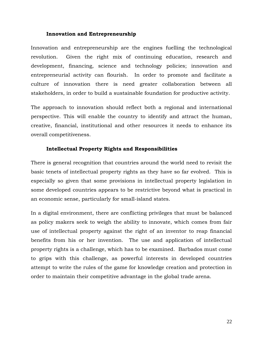#### **Innovation and Entrepreneurship**

<span id="page-22-0"></span>Innovation and entrepreneurship are the engines fuelling the technological revolution. Given the right mix of continuing education, research and development, financing, science and technology policies; innovation and entrepreneurial activity can flourish. In order to promote and facilitate a culture of innovation there is need greater collaboration between all stakeholders, in order to build a sustainable foundation for productive activity.

The approach to innovation should reflect both a regional and international perspective. This will enable the country to identify and attract the human, creative, financial, institutional and other resources it needs to enhance its overall competitiveness.

## <span id="page-22-1"></span>**Intellectual Property Rights and Responsibilities**

There is general recognition that countries around the world need to revisit the basic tenets of intellectual property rights as they have so far evolved. This is especially so given that some provisions in intellectual property legislation in some developed countries appears to be restrictive beyond what is practical in an economic sense, particularly for small-island states.

In a digital environment, there are conflicting privileges that must be balanced as policy makers seek to weigh the ability to innovate, which comes from fair use of intellectual property against the right of an inventor to reap financial benefits from his or her invention. The use and application of intellectual property rights is a challenge, which has to be examined. Barbados must come to grips with this challenge, as powerful interests in developed countries attempt to write the rules of the game for knowledge creation and protection in order to maintain their competitive advantage in the global trade arena.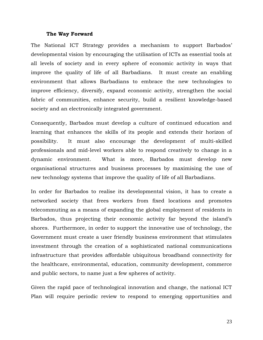#### **The Way Forward**

<span id="page-23-0"></span>The National ICT Strategy provides a mechanism to support Barbados' developmental vision by encouraging the utilisation of ICTs as essential tools at all levels of society and in every sphere of economic activity in ways that improve the quality of life of all Barbadians. It must create an enabling environment that allows Barbadians to embrace the new technologies to improve efficiency, diversify, expand economic activity, strengthen the social fabric of communities, enhance security, build a resilient knowledge-based society and an electronically integrated government.

Consequently, Barbados must develop a culture of continued education and learning that enhances the skills of its people and extends their horizon of possibility. It must also encourage the development of multi-skilled professionals and mid-level workers able to respond creatively to change in a dynamic environment. What is more, Barbados must develop new organisational structures and business processes by maximising the use of new technology systems that improve the quality of life of all Barbadians.

In order for Barbados to realise its developmental vision, it has to create a networked society that frees workers from fixed locations and promotes telecommuting as a means of expanding the global employment of residents in Barbados, thus projecting their economic activity far beyond the island"s shores. Furthermore, in order to support the innovative use of technology, the Government must create a user friendly business environment that stimulates investment through the creation of a sophisticated national communications infrastructure that provides affordable ubiquitous broadband connectivity for the healthcare, environmental, education, community development, commerce and public sectors, to name just a few spheres of activity.

Given the rapid pace of technological innovation and change, the national ICT Plan will require periodic review to respond to emerging opportunities and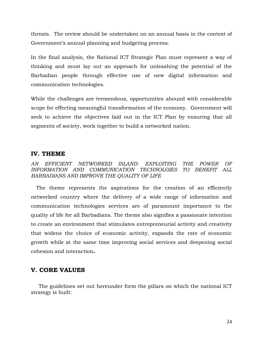threats. The review should be undertaken on an annual basis in the context of Government's annual planning and budgeting process.

In the final analysis, the National ICT Strategic Plan must represent a way of thinking and must lay out an approach for unleashing the potential of the Barbadian people through effective use of new digital information and communication technologies.

While the challenges are tremendous, opportunities abound with considerable scope for effecting meaningful transformation of the economy. Government will seek to achieve the objectives laid out in the ICT Plan by ensuring that all segments of society, work together to build a networked nation.

## <span id="page-24-0"></span>**IV. THEME**

*AN EFFICIENT NETWORKED ISLAND: EXPLOITING THE POWER OF INFORMATION AND COMMUNICATION TECHNOLGIES TO BENEFIT ALL BARBADIANS AND IMPROVE THE QUALITY OF LIFE*

The theme represents the aspirations for the creation of an efficiently networked country where the delivery of a wide range of information and communication technologies services are of paramount importance to the quality of life for all Barbadians. The theme also signifies a passionate intention to create an environment that stimulates entrepreneurial activity and creativity that widens the choice of economic activity, expands the rate of economic growth while at the same time improving social services and deepening social cohesion and interaction*.*

# <span id="page-24-1"></span>**V. CORE VALUES**

The guidelines set out hereunder form the pillars on which the national ICT strategy is built: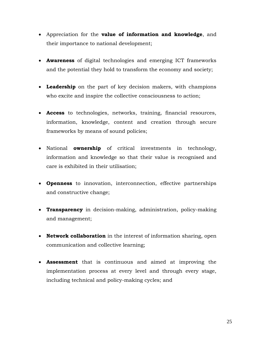- Appreciation for the **value of information and knowledge**, and their importance to national development;
- **Awareness** of digital technologies and emerging ICT frameworks and the potential they hold to transform the economy and society;
- **Leadership** on the part of key decision makers, with champions who excite and inspire the collective consciousness to action;
- **Access** to technologies, networks, training, financial resources, information, knowledge, content and creation through secure frameworks by means of sound policies;
- National **ownership** of critical investments in technology, information and knowledge so that their value is recognised and care is exhibited in their utilisation;
- **Openness** to innovation, interconnection, effective partnerships and constructive change;
- **Transparency** in decision-making, administration, policy-making and management;
- **Network collaboration** in the interest of information sharing, open communication and collective learning;
- **Assessment** that is continuous and aimed at improving the implementation process at every level and through every stage, including technical and policy-making cycles; and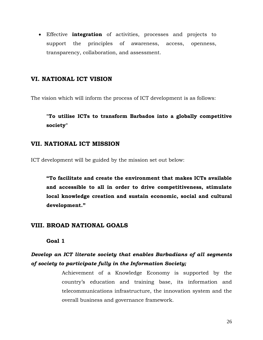Effective **integration** of activities, processes and projects to support the principles of awareness, access, openness, transparency, collaboration, and assessment.

## <span id="page-26-0"></span>**VI. NATIONAL ICT VISION**

The vision which will inform the process of ICT development is as follows:

# **"To utilise ICTs to transform Barbados into a globally competitive society"**

## <span id="page-26-1"></span>**VII. NATIONAL ICT MISSION**

ICT development will be guided by the mission set out below:

**"To facilitate and create the environment that makes ICTs available and accessible to all in order to drive competitiveness, stimulate local knowledge creation and sustain economic, social and cultural development."**

## <span id="page-26-3"></span><span id="page-26-2"></span>**VIII. BROAD NATIONAL GOALS**

**Goal 1**

# *Develop an ICT literate society that enables Barbadians of all segments of society to participate fully in the Information Society;*

Achievement of a Knowledge Economy is supported by the country"s education and training base, its information and telecommunications infrastructure, the innovation system and the overall business and governance framework.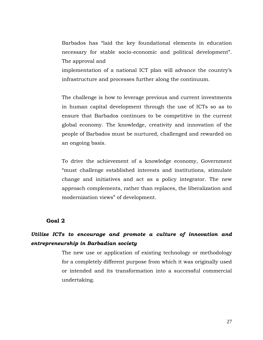Barbados has "laid the key foundational elements in education necessary for stable socio-economic and political development". The approval and

implementation of a national ICT plan will advance the country"s infrastructure and processes further along the continuum.

The challenge is how to leverage previous and current investments in human capital development through the use of ICTs so as to ensure that Barbados continues to be competitive in the current global economy. The knowledge, creativity and innovation of the people of Barbados must be nurtured, challenged and rewarded on an ongoing basis.

To drive the achievement of a knowledge economy, Government "must challenge established interests and institutions, stimulate change and initiatives and act as a policy integrator. The new approach complements, rather than replaces, the liberalization and modernization views" of development.

#### <span id="page-27-0"></span>**Goal 2**

# *Utilize ICTs to encourage and promote a culture of innovation and entrepreneurship in Barbadian society*

The new use or application of existing technology or methodology for a completely different purpose from which it was originally used or intended and its transformation into a successful commercial undertaking.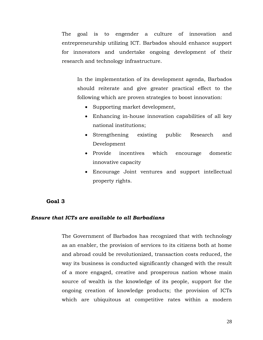The goal is to engender a culture of innovation and entrepreneurship utilizing ICT. Barbados should enhance support for innovators and undertake ongoing development of their research and technology infrastructure.

In the implementation of its development agenda, Barbados should reiterate and give greater practical effect to the following which are proven strategies to boost innovation:

- Supporting market development,
- Enhancing in-house innovation capabilities of all key national institutions;
- Strengthening existing public Research and Development
- Provide incentives which encourage domestic innovative capacity
- Encourage Joint ventures and support intellectual property rights.

## <span id="page-28-0"></span>**Goal 3**

#### *Ensure that ICTs are available to all Barbadians*

The Government of Barbados has recognized that with technology as an enabler, the provision of services to its citizens both at home and abroad could be revolutionized, transaction costs reduced, the way its business is conducted significantly changed with the result of a more engaged, creative and prosperous nation whose main source of wealth is the knowledge of its people, support for the ongoing creation of knowledge products; the provision of ICTs which are ubiquitous at competitive rates within a modern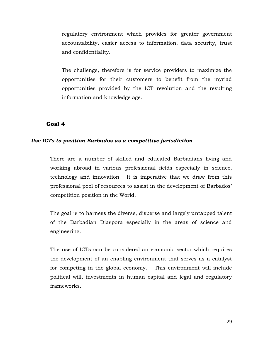regulatory environment which provides for greater government accountability, easier access to information, data security, trust and confidentiality.

The challenge, therefore is for service providers to maximize the opportunities for their customers to benefit from the myriad opportunities provided by the ICT revolution and the resulting information and knowledge age.

#### <span id="page-29-0"></span>**Goal 4**

#### *Use ICTs to position Barbados as a competitive jurisdiction*

There are a number of skilled and educated Barbadians living and working abroad in various professional fields especially in science, technology and innovation. It is imperative that we draw from this professional pool of resources to assist in the development of Barbados" competition position in the World.

The goal is to harness the diverse, disperse and largely untapped talent of the Barbadian Diaspora especially in the areas of science and engineering.

The use of ICTs can be considered an economic sector which requires the development of an enabling environment that serves as a catalyst for competing in the global economy. This environment will include political will, investments in human capital and legal and regulatory frameworks.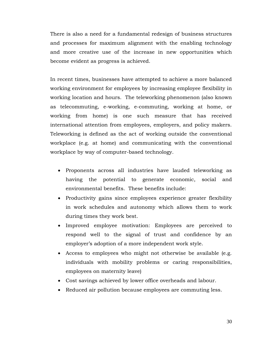There is also a need for a fundamental redesign of business structures and processes for maximum alignment with the enabling technology and more creative use of the increase in new opportunities which become evident as progress is achieved.

In recent times, businesses have attempted to achieve a more balanced working environment for employees by increasing employee flexibility in working location and hours. The teleworking phenomenon (also known as telecommuting, e-working, e-commuting, working at home, or working from home) is one such measure that has received international attention from employees, employers, and policy makers. Teleworking is defined as the act of working outside the conventional workplace (e.g. at home) and communicating with the conventional workplace by way of computer-based technology.

- Proponents across all industries have lauded teleworking as having the potential to generate economic, social and environmental benefits. These benefits include:
- Productivity gains since employees experience greater flexibility in work schedules and autonomy which allows them to work during times they work best.
- Improved employee motivation: Employees are perceived to respond well to the signal of trust and confidence by an employer's adoption of a more independent work style.
- Access to employees who might not otherwise be available (e.g. individuals with mobility problems or caring responsibilities, employees on maternity leave)
- Cost savings achieved by lower office overheads and labour.
- Reduced air pollution because employees are commuting less.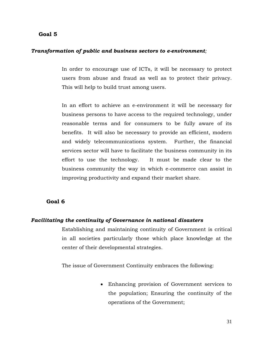#### <span id="page-31-0"></span>**Goal 5**

#### *Transformation of public and business sectors to e-environment;*

In order to encourage use of ICTs, it will be necessary to protect users from abuse and fraud as well as to protect their privacy. This will help to build trust among users.

In an effort to achieve an e-environment it will be necessary for business persons to have access to the required technology, under reasonable terms and for consumers to be fully aware of its benefits. It will also be necessary to provide an efficient, modern and widely telecommunications system. Further, the financial services sector will have to facilitate the business community in its effort to use the technology. It must be made clear to the business community the way in which e-commerce can assist in improving productivity and expand their market share.

#### <span id="page-31-1"></span>**Goal 6**

#### *Facilitating the continuity of Governance in national disasters*

Establishing and maintaining continuity of Government is critical in all societies particularly those which place knowledge at the center of their developmental strategies.

The issue of Government Continuity embraces the following:

 Enhancing provision of Government services to the population; Ensuring the continuity of the operations of the Government;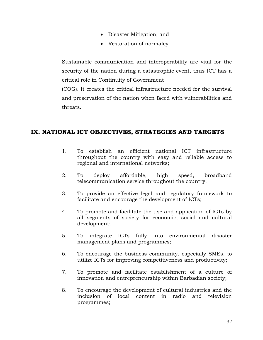- Disaster Mitigation; and
- Restoration of normalcy.

Sustainable communication and interoperability are vital for the security of the nation during a catastrophic event, thus ICT has a critical role in Continuity of Government

(COG). It creates the critical infrastructure needed for the survival and preservation of the nation when faced with vulnerabilities and threats.

# <span id="page-32-0"></span>**IX. NATIONAL ICT OBJECTIVES, STRATEGIES AND TARGETS**

- 1. To establish an efficient national ICT infrastructure throughout the country with easy and reliable access to regional and international networks;
- 2. To deploy affordable, high speed, broadband telecommunication service throughout the country;
- 3. To provide an effective legal and regulatory framework to facilitate and encourage the development of ICTs;
- 4. To promote and facilitate the use and application of ICTs by all segments of society for economic, social and cultural development;
- 5. To integrate ICTs fully into environmental disaster management plans and programmes;
- 6. To encourage the business community, especially SMEs, to utilize ICTs for improving competitiveness and productivity;
- 7. To promote and facilitate establishment of a culture of innovation and entrepreneurship within Barbadian society;
- 8. To encourage the development of cultural industries and the inclusion of local content in radio and television programmes;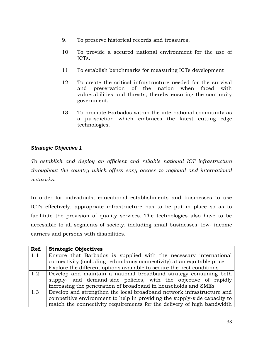- 9. To preserve historical records and treasures;
- 10. To provide a secured national environment for the use of ICTs.
- 11. To establish benchmarks for measuring ICTs development
- 12. To create the critical infrastructure needed for the survival and preservation of the nation when faced with vulnerabilities and threats, thereby ensuring the continuity government.
- 13. To promote Barbados within the international community as a jurisdiction which embraces the latest cutting edge technologies.

<span id="page-33-0"></span>*To establish and deploy an efficient and reliable national ICT infrastructure throughout the country which offers easy access to regional and international networks.*

In order for individuals, educational establishments and businesses to use ICTs effectively, appropriate infrastructure has to be put in place so as to facilitate the provision of quality services. The technologies also have to be accessible to all segments of society, including small businesses, low- income earners and persons with disabilities.

| Ref. | <b>Strategic Objectives</b>                                              |
|------|--------------------------------------------------------------------------|
| 1.1  | Ensure that Barbados is supplied with the necessary international        |
|      | connectivity (including redundancy connectivity) at an equitable price.  |
|      | Explore the different options available to secure the best conditions    |
| 1.2  | Develop and maintain a national broadband strategy containing both       |
|      | supply- and demand-side policies, with the objective of rapidly          |
|      | increasing the penetration of broadband in households and SMEs           |
| 1.3  | Develop and strengthen the local broadband network infrastructure and    |
|      | competitive environment to help in providing the supply-side capacity to |
|      | match the connectivity requirements for the delivery of high bandwidth   |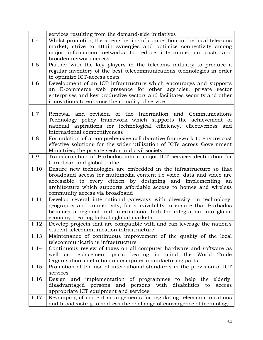|      | services resulting from the demand-side initiatives                                                   |
|------|-------------------------------------------------------------------------------------------------------|
| 1.4  | Whilst promoting the strengthening of competition in the local telecoms                               |
|      | market, strive to attain synergies and optimize connectivity among                                    |
|      | major information networks to reduce interconnection costs and                                        |
|      | broaden network access                                                                                |
| 1.5  | Partner with the key players in the telecoms industry to produce a                                    |
|      | regular inventory of the best telecommunications technologies in order                                |
|      | to optimize ICT-access costs                                                                          |
| 1.6  | Development of an ICT infrastructure which encourages and supports                                    |
|      | an E-commerce web presence for other agencies, private sector                                         |
|      | enterprises and key productive sectors and facilitates security and other                             |
|      | innovations to enhance their quality of service                                                       |
|      |                                                                                                       |
| 1.7  | revision of the Information and Communications<br>and<br>Renewal                                      |
|      | Technology policy framework which supports the achievement of                                         |
|      | national aspirations for technological efficiency, effectiveness and                                  |
|      | international competitiveness                                                                         |
| 1.8  | Formulation of a comprehensive collaborative framework to ensure cost                                 |
|      | effective solutions for the wider utilization of ICTs across Government                               |
|      | Ministries, the private sector and civil society                                                      |
| 1.9  | Transformation of Barbados into a major ICT services destination for                                  |
|      | Caribbean and global traffic                                                                          |
| 1.10 | Ensure new technologies are embedded in the infrastructure so that                                    |
|      | broadband access for multimedia content i.e voice, data and video are                                 |
|      | accessible to every citizen by designing and implementing an                                          |
|      | architecture which supports affordable access to homes and wireless<br>community access via broadband |
| 1.11 | Develop several international gateways with diversity, in technology,                                 |
|      | geography and connectivity, for survivability to ensure that Barbados                                 |
|      | becomes a regional and international hub for integration into global                                  |
|      | economy creating links to global markets                                                              |
| 1.12 | Develop projects that are compatible with and can leverage the nation's                               |
|      | current telecommunication infrastructure                                                              |
| 1.13 | Maintenance of continuous improvement of the quality of the local                                     |
|      | telecommunications infrastructure                                                                     |
| 1.14 | Continuous review of taxes on all computer hardware and software as                                   |
|      | replacement parts bearing in mind the World<br>well<br>Trade<br>as                                    |
|      | Organisation's definition on computer manufacturing parts                                             |
| 1.15 | Promotion of the use of international standards in the provision of ICT                               |
|      | services                                                                                              |
| 1.16 | Design and implementation of programmes to help the elderly,                                          |
|      | disadvantaged persons and persons with disabilities to<br>access                                      |
|      | appropriate ICT equipment and services                                                                |
| 1.17 | Revamping of current arrangements for regulating telecommunications                                   |
|      | and broadcasting to address the challenge of convergence of technology                                |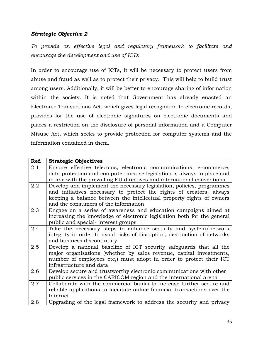*To provide an effective legal and regulatory framework to facilitate and encourage the development and use of ICTs*

In order to encourage use of ICTs, it will be necessary to protect users from abuse and fraud as well as to protect their privacy. This will help to build trust among users. Additionally, it will be better to encourage sharing of information within the society. It is noted that Government has already enacted an Electronic Transactions Act, which gives legal recognition to electronic records, provides for the use of electronic signatures on electronic documents and places a restriction on the disclosure of personal information and a Computer Misuse Act, which seeks to provide protection for computer systems and the information contained in them.

| Ref. | <b>Strategic Objectives</b>                                                                                                                                                                                                                                  |
|------|--------------------------------------------------------------------------------------------------------------------------------------------------------------------------------------------------------------------------------------------------------------|
| 2.1  | Ensure effective telecoms, electronic communications, e-commerce,<br>data protection and computer misuse legislation is always in place and<br>in line with the prevailing EU directives and international conventions                                       |
| 2.2  | Develop and implement the necessary legislation, policies, programmes<br>and initiatives necessary to protect the rights of creators, always<br>keeping a balance between the intellectual property rights of owners<br>and the consumers of the information |
| 2.3  | Engage on a series of awareness and education campaigns aimed at<br>increasing the knowledge of electronic legislation both for the general<br>public and special- interest groups                                                                           |
| 2.4  | Take the necessary steps to enhance security and system/network<br>integrity in order to avoid risks of disruption, destruction of networks<br>and business discontinuity                                                                                    |
| 2.5  | Develop a national baseline of ICT security safeguards that all the<br>major organisations (whether by sales revenue, capital investments,<br>number of employees etc.) must adopt in order to protect their ICT<br>infrastructure and data                  |
| 2.6  | Develop secure and trustworthy electronic communications with other<br>public services in the CARICOM region and the international arena                                                                                                                     |
| 2.7  | Collaborate with the commercial banks to increase further secure and<br>reliable applications to facilitate online financial transactions over the<br>Internet                                                                                               |
| 2.8  | Upgrading of the legal framework to address the security and privacy                                                                                                                                                                                         |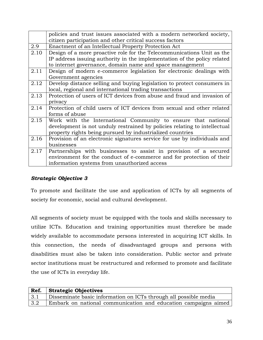|      | policies and trust issues associated with a modern networked society,     |
|------|---------------------------------------------------------------------------|
|      | citizen participation and other critical success factors                  |
|      |                                                                           |
| 2.9  | Enactment of an Intellectual Property Protection Act                      |
| 2.10 | Design of a more proactive role for the Telecommunications Unit as the    |
|      | IP address issuing authority in the implementation of the policy related  |
|      | to internet governance, domain name and space management                  |
| 2.11 | Design of modern e-commerce legislation for electronic dealings with      |
|      | Government agencies                                                       |
| 2.12 | Develop distance selling and buying legislation to protect consumers in   |
|      | local, regional and international trading transactions                    |
| 2.13 | Protection of users of ICT devices from abuse and fraud and invasion of   |
|      | privacy                                                                   |
| 2.14 | Protection of child users of ICT devices from sexual and other related    |
|      | forms of abuse                                                            |
| 2.15 | Work with the International Community to ensure that national             |
|      | development is not unduly restrained by policies relating to intellectual |
|      | property rights being pursued by industrialized countries                 |
| 2.16 | Provision of an electronic signatures service for use by individuals and  |
|      | businesses                                                                |
| 2.17 | Partnerships with businesses to assist in provision of a secured          |
|      | environment for the conduct of e-commerce and for protection of their     |
|      | information systems from unauthorized access                              |

To promote and facilitate the use and application of ICTs by all segments of society for economic, social and cultural development.

All segments of society must be equipped with the tools and skills necessary to utilize ICTs. Education and training opportunities must therefore be made widely available to accommodate persons interested in acquiring ICT skills. In this connection, the needs of disadvantaged groups and persons with disabilities must also be taken into consideration. Public sector and private sector institutions must be restructured and reformed to promote and facilitate the use of ICTs in everyday life.

|             | Ref. Strategic Objectives                                        |
|-------------|------------------------------------------------------------------|
| 3.1         | Disseminate basic information on ICTs through all possible media |
| $\vert 3.2$ | Embark on national communication and education campaigns aimed   |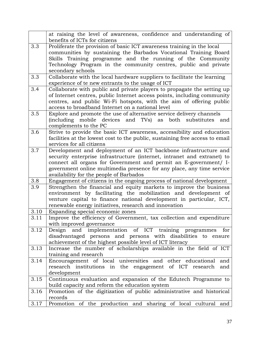|      | at raising the level of awareness, confidence and understanding of                                        |
|------|-----------------------------------------------------------------------------------------------------------|
|      | benefits of ICTs for citizens                                                                             |
| 3.3  | Proliferate the provision of basic ICT awareness training in the local                                    |
|      | communities by sustaining the Barbados Vocational Training Board                                          |
|      | Skills Training programme and the running of the Community                                                |
|      | Technology Program in the community centres, public and private                                           |
|      | secondary schools                                                                                         |
| 3.3  | Collaborate with the local hardware suppliers to facilitate the learning                                  |
|      | experience of te new entrants to the usage of ICT                                                         |
| 3.4  | Collaborate with public and private players to propagate the setting up                                   |
|      | of Internet centres, public Internet access points, including community                                   |
|      | centres, and public Wi-Fi hotspots, with the aim of offering public                                       |
|      | access to broadband Internet on a national level                                                          |
| 3.5  | Explore and promote the use of alternative service delivery channels                                      |
|      | (including mobile devices and TVs) as both substitutes and                                                |
| 3.6  | complements to the PC                                                                                     |
|      | Strive to provide the basic ICT awareness, accessibility and education                                    |
|      | facilities at the lowest cost to the public, sustaining free access to email<br>services for all citizens |
| 3.7  | Development and deployment of an ICT backbone infrastructure and                                          |
|      | security enterprise infrastructure (internet, intranet and extranet) to                                   |
|      | connect all organs for Government and permit an E-government/ I-                                          |
|      | government online multimedia presence for any place, any time service                                     |
|      | availability for the people of Barbados                                                                   |
| 3.8  | Engagement of citizens in the ongoing process of national development                                     |
| 3.9  | Strengthen the financial and equity markets to improve the business                                       |
|      | environment by facilitating the mobilization and development of                                           |
|      | venture capital to finance national development in particular, ICT,                                       |
|      | renewable energy initiatives, research and innovation                                                     |
| 3.10 | Expanding special economic zones                                                                          |
| 3.11 | Improve the efficiency of Government, tax collection and expenditure                                      |
|      | with improved governance                                                                                  |
| 3.12 | Design and implementation of ICT training programmes<br>for                                               |
|      | disadvantaged persons and persons with disabilities to ensure                                             |
|      | achievement of the highest possible level of ICT literacy                                                 |
| 3.13 | Increase the number of scholarships available in the field of ICT                                         |
|      | training and research                                                                                     |
| 3.14 | Encouragement of local universities and other educational<br>and                                          |
|      | research institutions in the engagement of ICT research<br>and                                            |
|      | development                                                                                               |
| 3.15 | Continuous evaluation and expansion of the Edutech Programme to                                           |
|      | build capacity and reform the education system                                                            |
| 3.16 | Promotion of the digitization of public administrative and historical                                     |
|      | records                                                                                                   |
| 3.17 | Promotion of the production and sharing of local cultural and                                             |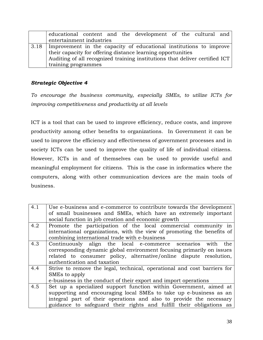|                          |  | educational content and the development of the cultural and                 |  |  |
|--------------------------|--|-----------------------------------------------------------------------------|--|--|
| entertainment industries |  |                                                                             |  |  |
|                          |  | 3.18 Improvement in the capacity of educational institutions to improve     |  |  |
|                          |  | their capacity for offering distance learning opportunities                 |  |  |
|                          |  | Auditing of all recognized training institutions that deliver certified ICT |  |  |
| training programmes      |  |                                                                             |  |  |

*To encourage the business community, especially SMEs, to utilize ICTs for improving competitiveness and productivity at all levels*

ICT is a tool that can be used to improve efficiency, reduce costs, and improve productivity among other benefits to organizations. In Government it can be used to improve the efficiency and effectiveness of government processes and in society ICTs can be used to improve the quality of life of individual citizens. However, ICTs in and of themselves can be used to provide useful and meaningful employment for citizens. This is the case in informatics where the computers, along with other communication devices are the main tools of business.

| 4.1 | Use e-business and e-commerce to contribute towards the development      |
|-----|--------------------------------------------------------------------------|
|     | of small businesses and SMEs, which have an extremely important          |
|     | social function in job creation and economic growth                      |
| 4.2 | Promote the participation of the local commercial community in           |
|     | international organizations, with the view of promoting the benefits of  |
|     | combining international trade with e-business                            |
| 4.3 | Continuously align the local e-commerce scenarios<br>the<br>with         |
|     | corresponding dynamic global environment focusing primarily on issues    |
|     | related to consumer policy, alternative/online dispute resolution,       |
|     | authentication and taxation                                              |
| 4.4 | Strive to remove the legal, technical, operational and cost barriers for |
|     | SMEs to apply                                                            |
|     | e-business in the conduct of their export and import operations          |
| 4.5 | Set up a specialized support function within Government, aimed at        |
|     | supporting and encouraging local SMEs to take up e-business as an        |
|     | integral part of their operations and also to provide the necessary      |
|     | guidance to safeguard their rights and fulfill their obligations as      |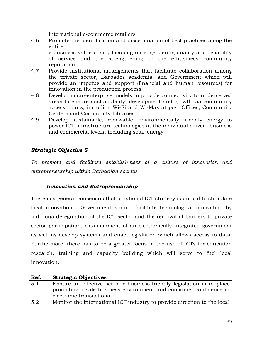|     | international e-commerce retailers                                        |
|-----|---------------------------------------------------------------------------|
| 4.6 | Promote the identification and dissemination of best practices along the  |
|     | entire                                                                    |
|     | e-business value chain, focusing on engendering quality and reliability   |
|     | of service and the strengthening of the e-business community              |
|     | reputation                                                                |
| 4.7 | Provide institutional arrangements that facilitate collaboration among    |
|     | the private sector, Barbados academia, and Government which will          |
|     | provide an impetus and support (financial and human resources) for        |
|     | innovation in the production process                                      |
| 4.8 | Develop micro-enterprise models to provide connectivity to underserved    |
|     | areas to ensure sustainability, development and growth via community      |
|     | access points, including Wi-Fi and Wi-Max at post Offices, Community      |
|     | Centers and Community Libraries                                           |
| 4.9 | Develop sustainable, renewable, environmentally friendly energy to        |
|     | power ICT infrastructure technologies at the individual citizen, business |
|     | and commercial levels, including solar energy                             |

*To promote and facilitate establishment of a culture of innovation and entrepreneurship within Barbadian society*

## *Innovation and Entrepreneurship*

There is a general consensus that a national ICT strategy is critical to stimulate local innovation. Government should facilitate technological innovation by judicious deregulation of the ICT sector and the removal of barriers to private sector participation, establishment of an electronically integrated government as well as develop systems and enact legislation which allows access to data. Furthermore, there has to be a greater focus in the use of ICTs for education research, training and capacity building which will serve to fuel local innovation.

| Ref. | <b>Strategic Objectives</b>                                                                                                                                           |
|------|-----------------------------------------------------------------------------------------------------------------------------------------------------------------------|
| 5.1  | Ensure an effective set of e-business-friendly legislation is in place<br>promoting a safe business environment and consumer confidence in<br>electronic transactions |
| 5.2  | Monitor the international ICT industry to provide direction to the local                                                                                              |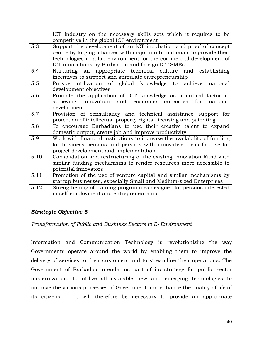|      | ICT industry on the necessary skills sets which it requires to be                                                         |
|------|---------------------------------------------------------------------------------------------------------------------------|
|      | competitive in the global ICT environment                                                                                 |
| 5.3  | Support the development of an ICT incubation and proof of concept                                                         |
|      | centre by forging alliances with major multi- nationals to provide their                                                  |
|      | technologies in a lab environment for the commercial development of                                                       |
|      | ICT innovations by Barbadian and foreign ICT SMEs                                                                         |
| 5.4  | an appropriate technical culture and<br>Nurturing<br>establishing<br>incentives to support and stimulate entrepreneurship |
| 5.5  | utilization of global knowledge to achieve<br>national<br>Pursue                                                          |
|      | development objectives                                                                                                    |
| 5.6  |                                                                                                                           |
|      | Promote the application of ICT knowledge as a critical factor in                                                          |
|      | achieving innovation and economic<br>outcomes<br>for<br>national                                                          |
|      | development                                                                                                               |
| 5.7  | Provision of consultancy and technical assistance support for                                                             |
|      | protection of intellectual property rights, licensing and patenting                                                       |
| 5.8  | To encourage Barbadians to use their creative talent to expand                                                            |
|      | domestic output, create job and improve productivity                                                                      |
| 5.9  | Work with financial institutions to increase the availability of funding                                                  |
|      | for business persons and persons with innovative ideas for use for                                                        |
|      | project development and implementation                                                                                    |
| 5.10 | Consolidation and restructuring of the existing Innovation Fund with                                                      |
|      | similar funding mechanisms to render resources more accessible to                                                         |
|      | potential innovators                                                                                                      |
| 5.11 | Promotion of the use of venture capital and similar mechanisms by                                                         |
|      | startup businesses, especially Small and Medium-sized Enterprises                                                         |
| 5.12 | Strengthening of training programmes designed for persons interested                                                      |
|      | in self-employment and entrepreneurship                                                                                   |

*Transformation of Public and Business Sectors to E- Environment*

Information and Communication Technology is revolutionizing the way Governments operate around the world by enabling them to improve the delivery of services to their customers and to streamline their operations. The Government of Barbados intends, as part of its strategy for public sector modernization, to utilize all available new and emerging technologies to improve the various processes of Government and enhance the quality of life of its citizens. It will therefore be necessary to provide an appropriate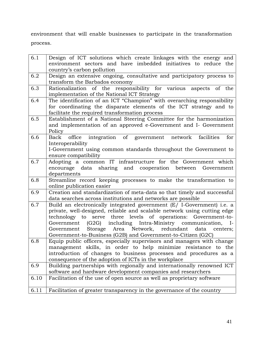environment that will enable businesses to participate in the transformation process.

| 6.1  | Design of ICT solutions which create linkages with the energy and                                                              |
|------|--------------------------------------------------------------------------------------------------------------------------------|
|      | environment sectors and have imbedded initiatives to reduce the                                                                |
|      | country's carbon pollution                                                                                                     |
| 6.2  | Design an extensive ongoing, consultative and participatory process to                                                         |
|      | transform the Barbados economy                                                                                                 |
| 6.3  | Rationalization of the responsibility for various aspects of the                                                               |
|      | implementation of the National ICT Strategy                                                                                    |
| 6.4  | The identification of an ICT "Champion" with overarching responsibility                                                        |
|      | for coordinating the disparate elements of the ICT strategy and to                                                             |
|      | facilitate the required transformation process                                                                                 |
| 6.5  | Establishment of a National Steering Committee for the harmonization                                                           |
|      | and implementation of an approved e-Government and I- Government                                                               |
|      | Policy                                                                                                                         |
| 6.6  | Back office integration of government network<br>facilities<br>for                                                             |
|      | Interoperability                                                                                                               |
|      | I-Government using common standards throughout the Government to                                                               |
|      | ensure compatibility                                                                                                           |
| 6.7  | Adopting a common IT infrastructure for the Government which                                                                   |
|      | encourage data sharing and cooperation between<br>Government                                                                   |
|      | departments                                                                                                                    |
| 6.8  | Streamline record keeping processes to make the transformation to                                                              |
|      | online publication easier                                                                                                      |
| 6.9  | Creation and standardization of meta-data so that timely and successful                                                        |
|      | data searches across institutions and networks are possible                                                                    |
| 6.7  | Build an electronically integrated government (E/ I-Government) i.e. a                                                         |
|      | private, well-designed, reliable and scalable network using cutting edge                                                       |
|      | technology to serve three levels of operations: Government-to-                                                                 |
|      | Government (G2G) including Intra-Ministry communication, I-                                                                    |
|      | Storage Area Network, redundant<br>data centers;<br>Government<br>Government-to-Business (G2B) and Government-to-Citizen (G2C) |
| 6.8  | Equip public officers, especially supervisors and managers with change                                                         |
|      | management skills, in order to help minimize resistance to the                                                                 |
|      | introduction of changes to business processes and procedures as a                                                              |
|      | consequence of the adoption of ICTs in the workplace                                                                           |
| 6.9  | Building partnerships with regionally and internationally renowned ICT                                                         |
|      | software and hardware development companies and researchers                                                                    |
| 6.10 | Facilitation of the use of open source as well as proprietary software                                                         |
|      |                                                                                                                                |
| 6.11 | Facilitation of greater transparency in the governance of the country                                                          |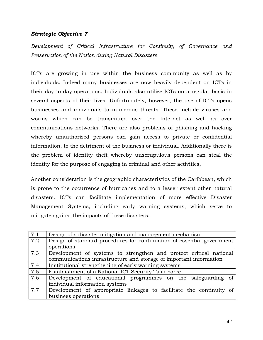*Development of Critical Infrastructure for Continuity of Governance and Preservation of the Nation during Natural Disasters*

ICTs are growing in use within the business community as well as by individuals. Indeed many businesses are now heavily dependent on ICTs in their day to day operations. Individuals also utilize ICTs on a regular basis in several aspects of their lives. Unfortunately, however, the use of ICTs opens businesses and individuals to numerous threats. These include viruses and worms which can be transmitted over the Internet as well as over communications networks. There are also problems of phishing and hacking whereby unauthorized persons can gain access to private or confidential information, to the detriment of the business or individual. Additionally there is the problem of identity theft whereby unscrupulous persons can steal the identity for the purpose of engaging in criminal and other activities.

Another consideration is the geographic characteristics of the Caribbean, which is prone to the occurrence of hurricanes and to a lesser extent other natural disasters. ICTs can facilitate implementation of more effective Disaster Management Systems, including early warning systems, which serve to mitigate against the impacts of these disasters.

| 7.1 | Design of a disaster mitigation and management mechanism               |
|-----|------------------------------------------------------------------------|
| 7.2 | Design of standard procedures for continuation of essential government |
|     | operations                                                             |
| 7.3 | Development of systems to strengthen and protect critical national     |
|     | communications infrastructure and storage of important information     |
| 7.4 | Institutional strengthening of early warning systems                   |
| 7.5 | Establishment of a National ICT Security Task Force                    |
| 7.6 | Development of educational programmes on the safeguarding of           |
|     | individual information systems                                         |
| 7.7 | Development of appropriate linkages to facilitate the continuity of    |
|     | business operations                                                    |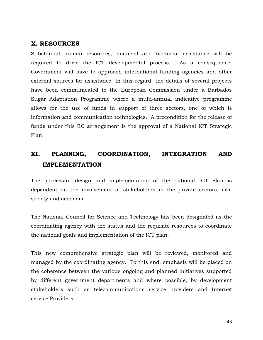## <span id="page-43-0"></span>**X. RESOURCES**

Substantial human resources, financial and technical assistance will be required to drive the ICT developmental process. As a consequence, Government will have to approach international funding agencies and other external sources for assistance. In this regard, the details of several projects have been communicated to the European Commission under a Barbados Sugar Adaptation Programme where a multi-annual indicative programme allows for the use of funds in support of three sectors, one of which is information and communication technologies. A precondition for the release of funds under this EC arrangement is the approval of a National ICT Strategic Plan.

# <span id="page-43-1"></span>**XI. PLANNING, COORDINATION, INTEGRATION AND IMPLEMENTATION**

The successful design and implementation of the national ICT Plan is dependent on the involvement of stakeholders in the private sectors, civil society and academia.

The National Council for Science and Technology has been designated as the coordinating agency with the status and the requisite resources to coordinate the national goals and implementation of the ICT plan.

This new comprehensive strategic plan will be reviewed, monitored and managed by the coordinating agency. To this end, emphasis will be placed on the coherence between the various ongoing and planned initiatives supported by different government departments and where possible, by development stakeholders such as telecommunications service providers and Internet service Providers.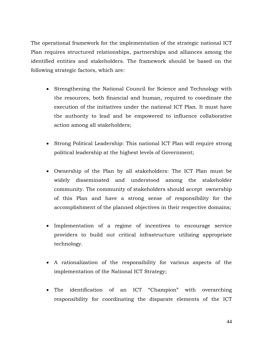The operational framework for the implementation of the strategic national ICT Plan requires structured relationships, partnerships and alliances among the identified entities and stakeholders. The framework should be based on the following strategic factors, which are:

- Strengthening the National Council for Science and Technology with the resources, both financial and human, required to coordinate the execution of the initiatives under the national ICT Plan. It must have the authority to lead and be empowered to influence collaborative action among all stakeholders;
- Strong Political Leadership: This national ICT Plan will require strong political leadership at the highest levels of Government;
- Ownership of the Plan by all stakeholders: The ICT Plan must be widely disseminated and understood among the stakeholder community. The community of stakeholders should accept ownership of this Plan and have a strong sense of responsibility for the accomplishment of the planned objectives in their respective domains;
- Implementation of a regime of incentives to encourage service providers to build out critical infrastructure utilizing appropriate technology.
- A rationalization of the responsibility for various aspects of the implementation of the National ICT Strategy;
- The identification of an ICT "Champion" with overarching responsibility for coordinating the disparate elements of the ICT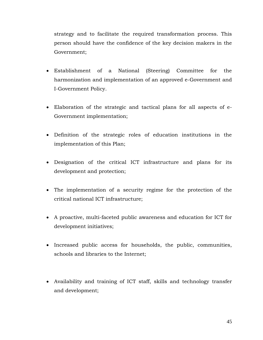strategy and to facilitate the required transformation process. This person should have the confidence of the key decision makers in the Government;

- Establishment of a National (Steering) Committee for the harmonization and implementation of an approved e-Government and I-Government Policy.
- Elaboration of the strategic and tactical plans for all aspects of e-Government implementation;
- Definition of the strategic roles of education institutions in the implementation of this Plan;
- Designation of the critical ICT infrastructure and plans for its development and protection;
- The implementation of a security regime for the protection of the critical national ICT infrastructure;
- A proactive, multi-faceted public awareness and education for ICT for development initiatives;
- Increased public access for households, the public, communities, schools and libraries to the Internet;
- Availability and training of ICT staff, skills and technology transfer and development;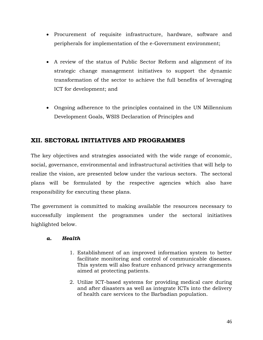- Procurement of requisite infrastructure, hardware, software and peripherals for implementation of the e-Government environment;
- A review of the status of Public Sector Reform and alignment of its strategic change management initiatives to support the dynamic transformation of the sector to achieve the full benefits of leveraging ICT for development; and
- Ongoing adherence to the principles contained in the UN Millennium Development Goals, WSIS Declaration of Principles and

# <span id="page-46-0"></span>**XII. SECTORAL INITIATIVES AND PROGRAMMES**

The key objectives and strategies associated with the wide range of economic, social, governance, environmental and infrastructural activities that will help to realize the vision, are presented below under the various sectors. The sectoral plans will be formulated by the respective agencies which also have responsibility for executing these plans.

The government is committed to making available the resources necessary to successfully implement the programmes under the sectoral initiatives highlighted below.

## <span id="page-46-1"></span>*a. Health*

- 1. Establishment of an improved information system to better facilitate monitoring and control of communicable diseases. This system will also feature enhanced privacy arrangements aimed at protecting patients.
- 2. Utilize ICT-based systems for providing medical care during and after disasters as well as integrate ICTs into the delivery of health care services to the Barbadian population.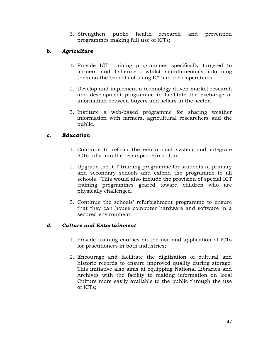3. Strengthen public health research and prevention programmes making full use of ICTs;

## <span id="page-47-0"></span>*b. Agriculture*

- 1. Provide ICT training programmes specifically targeted to farmers and fishermen; whilst simultaneously informing them on the benefits of using ICTs in their operations.
- 2. Develop and implement a technology driven market research and development programme to facilitate the exchange of information between buyers and sellers in the sector.
- 3. Institute a web-based programme for sharing weather information with farmers, agricultural researchers and the public.

## <span id="page-47-1"></span>*c. Education*

- 1. Continue to reform the educational system and integrate ICTs fully into the revamped curriculum.
- 2. Upgrade the ICT training programme for students at primary and secondary schools and extend the programme to all schools. This would also include the provision of special ICT training programmes geared toward children who are physically challenged.
- 3. Continue the schools" refurbishment programme to ensure that they can house computer hardware and software in a secured environment.

## <span id="page-47-2"></span>*d. Culture and Entertainment*

- 1. Provide training courses on the use and application of ICTs for practitioners in both industries;
- 2. Encourage and facilitate the digitization of cultural and historic records to ensure improved quality during storage. This initiative also aims at equipping National Libraries and Archives with the facility to making information on local Culture more easily available to the public through the use of ICTs;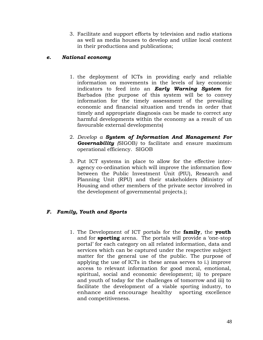3. Facilitate and support efforts by television and radio stations as well as media houses to develop and utilize local content in their productions and publications;

## <span id="page-48-0"></span>*e. National economy*

- 1. the deployment of ICTs in providing early and reliable information on movements in the levels of key economic indicators to feed into an *Early Warning System* for Barbados (the purpose of this system will be to convey information for the timely assessment of the prevailing economic and financial situation and trends in order that timely and appropriate diagnosis can be made to correct any harmful developments within the economy as a result of un favourable external developments)
- 2. *Develop a System of Information And Management For Governability (*SIGOB*)* to facilitate and ensure maximum operational efficiency. SIGOB
- 3. Put ICT systems in place to allow for the effective interagency co-ordination which will improve the information flow between the Public Investment Unit (PIU), Research and Planning Unit (RPU) and their stakeholders (Ministry of Housing and other members of the private sector involved in the development of governmental projects.);

## <span id="page-48-1"></span>*F. Family, Youth and Sports*

1. The Development of ICT portals for the **family**, the **youth** and for **sporting** arena. The portals will provide a "one-stop portal" for each category on all related information, data and services which can be captured under the respective subject matter for the general use of the public. The purpose of applying the use of ICTs in these areas serves to i.) improve access to relevant information for good moral, emotional, spiritual, social and economic development; ii) to prepare and youth of today for the challenges of tomorrow and iii) to facilitate the development of a viable sporting industry, to enhance and encourage healthy sporting excellence and competitiveness.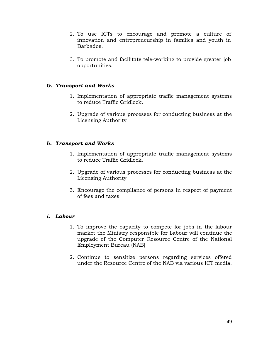- 2. To use ICTs to encourage and promote a culture of innovation and entrepreneurship in families and youth in Barbados.
- 3. To promote and facilitate tele-working to provide greater job opportunities.

## <span id="page-49-0"></span>*G. Transport and Works*

- 1. Implementation of appropriate traffic management systems to reduce Traffic Gridlock.
- 2. Upgrade of various processes for conducting business at the Licensing Authority

## <span id="page-49-1"></span>*h. Transport and Works*

- 1. Implementation of appropriate traffic management systems to reduce Traffic Gridlock.
- 2. Upgrade of various processes for conducting business at the Licensing Authority
- 3. Encourage the compliance of persons in respect of payment of fees and taxes

## <span id="page-49-2"></span>*i. Labour*

- 1. To improve the capacity to compete for jobs in the labour market the Ministry responsible for Labour will continue the upgrade of the Computer Resource Centre of the National Employment Bureau (NAB)
- 2. Continue to sensitize persons regarding services offered under the Resource Centre of the NAB via various ICT media.